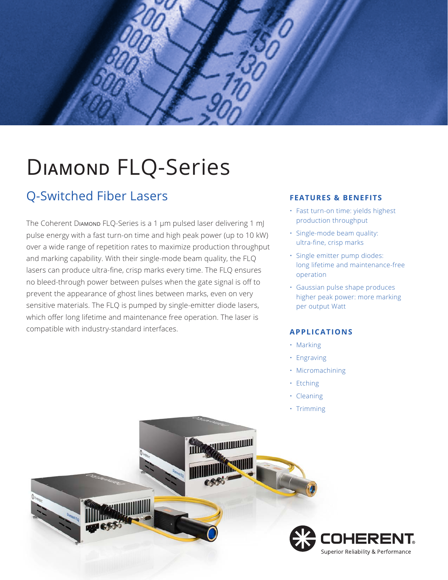

# D**iamond** FLQ-Series

### Q-Switched Fiber Lasers

The Coherent Diamond FLQ-Series is a 1 μm pulsed laser delivering 1 mJ pulse energy with a fast turn-on time and high peak power (up to 10 kW) over a wide range of repetition rates to maximize production throughput and marking capability. With their single-mode beam quality, the FLQ lasers can produce ultra-fine, crisp marks every time. The FLQ ensures no bleed-through power between pulses when the gate signal is off to prevent the appearance of ghost lines between marks, even on very sensitive materials. The FLQ is pumped by single-emitter diode lasers, which offer long lifetime and maintenance free operation. The laser is compatible with industry-standard interfaces.

#### **FEATURES & BENEFITS**

- Fast turn-on time: yields highest production throughput
- Single-mode beam quality: ultra-fine, crisp marks
- Single emitter pump diodes: long lifetime and maintenance-free operation
- Gaussian pulse shape produces higher peak power: more marking per output Watt

#### **APPLICATIONS**

- Marking
- Engraving
- Micromachining
- Etching
- Cleaning
- Trimming

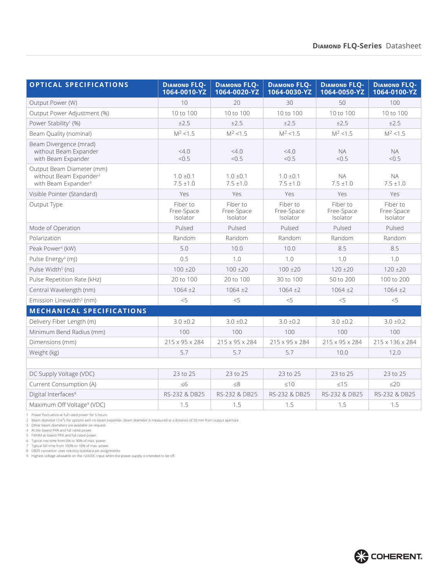| <b>OPTICAL SPECIFICATIONS</b>                                                                      | <b>DIAMOND FLQ-</b><br>1064-0010-YZ | <b>DIAMOND FLQ-</b><br>1064-0020-YZ | <b>DIAMOND FLQ-</b><br>1064-0030-YZ | <b>DIAMOND FLQ-</b><br>1064-0050-YZ | <b>DIAMOND FLQ-</b><br>1064-0100-YZ |
|----------------------------------------------------------------------------------------------------|-------------------------------------|-------------------------------------|-------------------------------------|-------------------------------------|-------------------------------------|
| Output Power (W)                                                                                   | 10                                  | 20                                  | 30                                  | 50                                  | 100                                 |
| Output Power Adjustment (%)                                                                        | 10 to 100                           | 10 to 100                           | 10 to 100                           | 10 to 100                           | 10 to 100                           |
| Power Stability <sup>1</sup> (%)                                                                   | ±2.5                                | ±2.5                                | ±2.5                                | ±2.5                                | ±2.5                                |
| Beam Quality (nominal)                                                                             | $M^2$ < 1.5                         | $M^2$ < 1.5                         | $M^2$ < 1.5                         | $M^2$ < 1.5                         | $M^2$ < 1.5                         |
| Beam Divergence (mrad)<br>without Beam Expander<br>with Beam Expander                              | 4.0<br>< 0.5                        | 4.0<br>< 0.5                        | 4.0<br>< 0.5                        | <b>NA</b><br>< 0.5                  | <b>NA</b><br>< 0.5                  |
| Output Beam Diameter (mm)<br>without Beam Expander <sup>2</sup><br>with Beam Expander <sup>3</sup> | $1.0 \pm 0.1$<br>$7.5 \pm 1.0$      | $1.0 \pm 0.1$<br>$7.5 \pm 1.0$      | $1.0 \pm 0.1$<br>$7.5 \pm 1.0$      | <b>NA</b><br>$7.5 \pm 1.0$          | <b>NA</b><br>$7.5 \pm 1.0$          |
| Visible Pointer (Standard)                                                                         | Yes                                 | Yes                                 | Yes                                 | Yes                                 | Yes                                 |
| Output Type                                                                                        | Fiber to<br>Free-Space<br>Isolator  | Fiber to<br>Free-Space<br>Isolator  | Fiber to<br>Free-Space<br>Isolator  | Fiber to<br>Free-Space<br>Isolator  | Fiber to<br>Free-Space<br>Isolator  |
| Mode of Operation                                                                                  | Pulsed                              | Pulsed                              | Pulsed                              | Pulsed                              | Pulsed                              |
| Polarization                                                                                       | Random                              | Random                              | Random                              | Random                              | Random                              |
| Peak Power <sup>4</sup> (kW)                                                                       | 5.0                                 | 10.0                                | 10.0                                | 8.5                                 | 8.5                                 |
| Pulse Energy <sup>4</sup> (mJ)                                                                     | 0.5                                 | 1.0                                 | 1.0                                 | 1.0                                 | 1.0                                 |
| Pulse Width <sup>5</sup> (ns)                                                                      | $100 \pm 20$                        | $100 \pm 20$                        | $100 \pm 20$                        | $120 \pm 20$                        | $120 \pm 20$                        |
| Pulse Repetition Rate (kHz)                                                                        | 20 to 100                           | 20 to 100                           | 30 to 100                           | 50 to 200                           | 100 to 200                          |
| Central Wavelength (nm)                                                                            | $1064 \pm 2$                        | $1064 \pm 2$                        | $1064 + 2$                          | $1064 + 2$                          | $1064 + 2$                          |
| Emission Linewidth <sup>5</sup> (nm)                                                               | < 5                                 | $<$ 5                               | < 5                                 | < 5                                 | < 5                                 |
| <b>MECHANICAL SPECIFICATIONS</b>                                                                   |                                     |                                     |                                     |                                     |                                     |
| Delivery Fiber Length (m)                                                                          | $3.0 \pm 0.2$                       | $3.0 \pm 0.2$                       | $3.0 \pm 0.2$                       | $3.0 \pm 0.2$                       | $3.0 \pm 0.2$                       |
| Minimum Bend Radius (mm)                                                                           | 100                                 | 100                                 | 100                                 | 100                                 | 100                                 |
| Dimensions (mm)                                                                                    | 215 x 95 x 284                      | 215 x 95 x 284                      | 215 x 95 x 284                      | 215 x 95 x 284                      | 215 x 136 x 284                     |
| Weight (kg)                                                                                        | 5.7                                 | 5.7                                 | 5.7                                 | 10.0                                | 12.0                                |
|                                                                                                    |                                     |                                     |                                     |                                     |                                     |
| DC Supply Voltage (VDC)                                                                            | 23 to 25                            | 23 to 25                            | 23 to 25                            | 23 to 25                            | 23 to 25                            |
| Current Consumption (A)                                                                            | &5                                  | < 8                                 | <10                                 | < 15                                | 220                                 |
| Digital Interfaces <sup>8</sup>                                                                    | RS-232 & DB25                       | RS-232 & DB25                       | RS-232 & DB25                       | RS-232 & DB25                       | RS-232 & DB25                       |
| Maximum Off Voltage <sup>9</sup> (VDC)                                                             | 1.5                                 | 1.5                                 | 1.5                                 | 1.5                                 | 1.5                                 |

1 Power fluctuation at full rated power for 5 hours.<br>2 Beam diameter (1/e<sup>2</sup>), for options with no beam expander, beam diameter is measured at a distance of 20 mm from output aperture.<br>3 Other beam diameters are available

6 Typical rise time from 0% to 90% of max. power.<br>7 Typical fall time from 100% to 10% of max. power.<br>8 DB25 connector uses industry standard pin assignments.<br>9 Highest voltage allowable on the +24VDC input when th

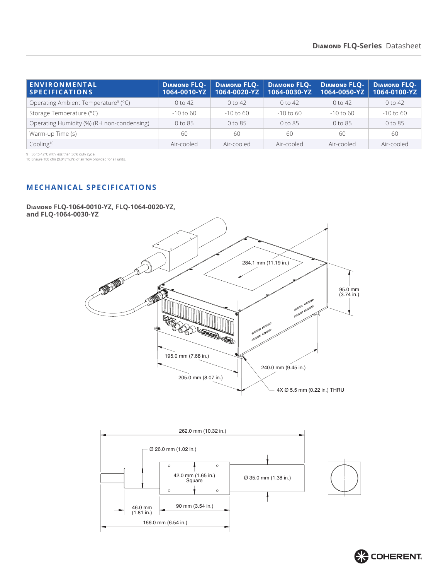| <b>ENVIRONMENTAL</b><br><b>SPECIFICATIONS</b>   | <b>DIAMOND FLO-</b><br>$1064 - 0010 - YZ$ |             | DIAMOND FLQ-   DIAMOND FLQ-   DIAMOND FLQ-<br>1064-0020-YZ   1064-0030-YZ   1064-0050-YZ |             | <b>DIAMOND FLO-</b><br>1064-0100-YZ |
|-------------------------------------------------|-------------------------------------------|-------------|------------------------------------------------------------------------------------------|-------------|-------------------------------------|
| Operating Ambient Temperature <sup>9</sup> (°C) | 0 to 42                                   | $0$ to 42   | $0$ to 42                                                                                | $0$ to 42   | $0$ to 42                           |
| Storage Temperature (°C)                        | $-10$ to 60                               | $-10$ to 60 | $-10$ to 60                                                                              | $-10$ to 60 | $-10$ to 60                         |
| Operating Humidity (%) (RH non-condensing)      | 0 to 85                                   | $0$ to $85$ | $0$ to $85$                                                                              | $0$ to 85   | 0 to 85                             |
| Warm-up Time (s)                                | 60                                        | 60          | 60                                                                                       | -60         | 60                                  |
| Cooling <sup>10</sup>                           | Air-cooled                                | Air-cooled  | Air-cooled                                                                               | Air-cooled  | Air-cooled                          |

9 36 to 42°C with less than 50% duty cycle.

10 Ensure 100 cfm (0.047m3/s) of air flow provided for all units.

#### **MECHANICAL SPECIFICATIONS**

**Diamond FLQ-1064-0010-YZ, FLQ-1064-0020-YZ, and FLQ-1064-0030-YZ**





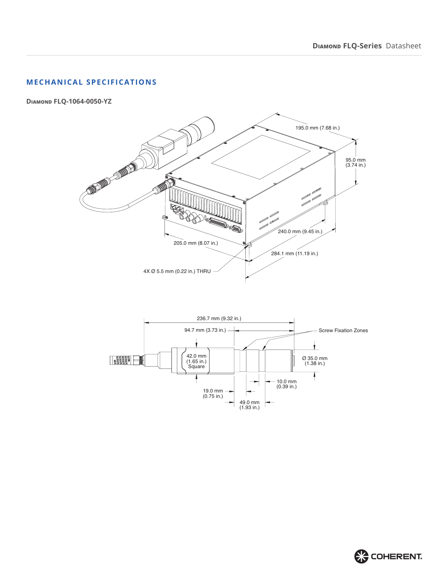#### **MECHANICAL SPECIFICATIONS**

**Diamond FLQ-1064-0050-YZ**